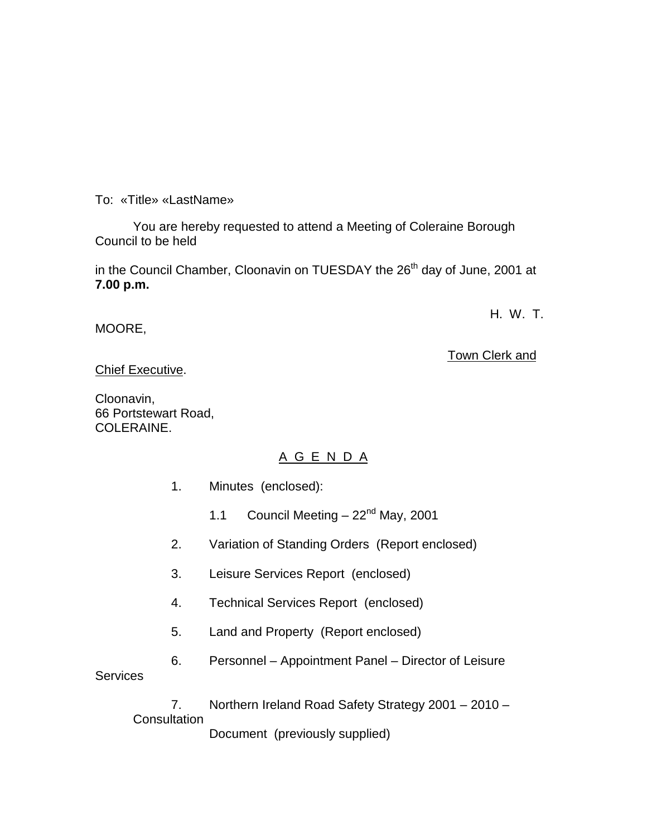To: «Title» «LastName»

You are hereby requested to attend a Meeting of Coleraine Borough Council to be held

in the Council Chamber, Cloonavin on TUESDAY the 26<sup>th</sup> day of June, 2001 at **7.00 p.m.**

### MOORE,

Town Clerk and

H. W. T.

Chief Executive.

Cloonavin, 66 Portstewart Road, COLERAINE.

## A G E N D A

- 1. Minutes (enclosed):
	- 1.1 Council Meeting  $-22<sup>nd</sup>$  May, 2001
- 2. Variation of Standing Orders (Report enclosed)
- 3. Leisure Services Report (enclosed)
- 4. Technical Services Report (enclosed)
- 5. Land and Property (Report enclosed)
- 6. Personnel Appointment Panel Director of Leisure

**Services** 

7. Northern Ireland Road Safety Strategy 2001 – 2010 – **Consultation** Document (previously supplied)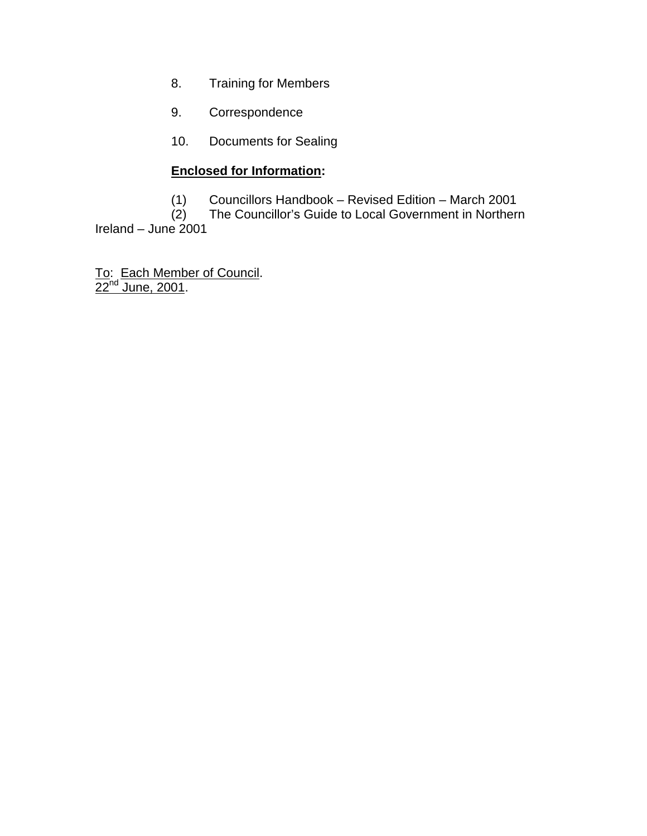- 8. Training for Members
- 9. Correspondence
- 10. Documents for Sealing

# **Enclosed for Information:**

(1) Councillors Handbook – Revised Edition – March 2001

(2) The Councillor's Guide to Local Government in Northern

Ireland – June  $2001$ 

To: Each Member of Council.  $22^{nd}$  June, 2001.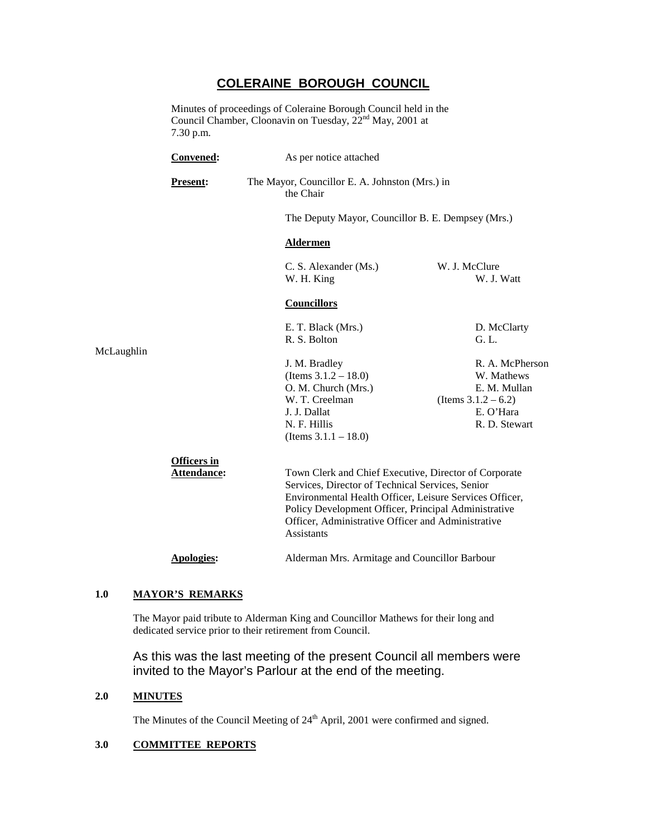### **COLERAINE BOROUGH COUNCIL**

Minutes of proceedings of Coleraine Borough Council held in the Council Chamber, Cloonavin on Tuesday, 22nd May, 2001 at 7.30 p.m.

|            | Convened:                         | As per notice attached                                                                                                                                                                                                                                                                           |                                                                         |  |  |  |
|------------|-----------------------------------|--------------------------------------------------------------------------------------------------------------------------------------------------------------------------------------------------------------------------------------------------------------------------------------------------|-------------------------------------------------------------------------|--|--|--|
|            | <b>Present:</b>                   | the Chair                                                                                                                                                                                                                                                                                        | The Mayor, Councillor E. A. Johnston (Mrs.) in                          |  |  |  |
|            |                                   |                                                                                                                                                                                                                                                                                                  | The Deputy Mayor, Councillor B. E. Dempsey (Mrs.)                       |  |  |  |
| McLaughlin |                                   | <b>Aldermen</b>                                                                                                                                                                                                                                                                                  |                                                                         |  |  |  |
|            |                                   | C. S. Alexander (Ms.)<br>W. H. King                                                                                                                                                                                                                                                              | W. J. McClure<br>W. J. Watt                                             |  |  |  |
|            |                                   | <b>Councillors</b>                                                                                                                                                                                                                                                                               |                                                                         |  |  |  |
|            |                                   | E. T. Black (Mrs.)<br>R. S. Bolton                                                                                                                                                                                                                                                               | D. McClarty<br>G. L.                                                    |  |  |  |
|            |                                   | J. M. Bradley<br>(Items $3.1.2 - 18.0$ )<br>O. M. Church (Mrs.)<br>W. T. Creelman                                                                                                                                                                                                                | R. A. McPherson<br>W. Mathews<br>E. M. Mullan<br>(Items $3.1.2 - 6.2$ ) |  |  |  |
|            |                                   | J. J. Dallat<br>N. F. Hillis<br>(Items $3.1.1 - 18.0$ )                                                                                                                                                                                                                                          | E. O'Hara<br>R. D. Stewart                                              |  |  |  |
|            | <b>Officers</b> in<br>Attendance: | Town Clerk and Chief Executive, Director of Corporate<br>Services, Director of Technical Services, Senior<br>Environmental Health Officer, Leisure Services Officer,<br>Policy Development Officer, Principal Administrative<br>Officer, Administrative Officer and Administrative<br>Assistants |                                                                         |  |  |  |
|            | Apologies:                        | Alderman Mrs. Armitage and Councillor Barbour                                                                                                                                                                                                                                                    |                                                                         |  |  |  |

# **1.0 MAYOR'S REMARKS**

The Mayor paid tribute to Alderman King and Councillor Mathews for their long and dedicated service prior to their retirement from Council.

As this was the last meeting of the present Council all members were invited to the Mayor's Parlour at the end of the meeting.

#### **2.0 MINUTES**

The Minutes of the Council Meeting of  $24<sup>th</sup>$  April, 2001 were confirmed and signed.

#### **3.0 COMMITTEE REPORTS**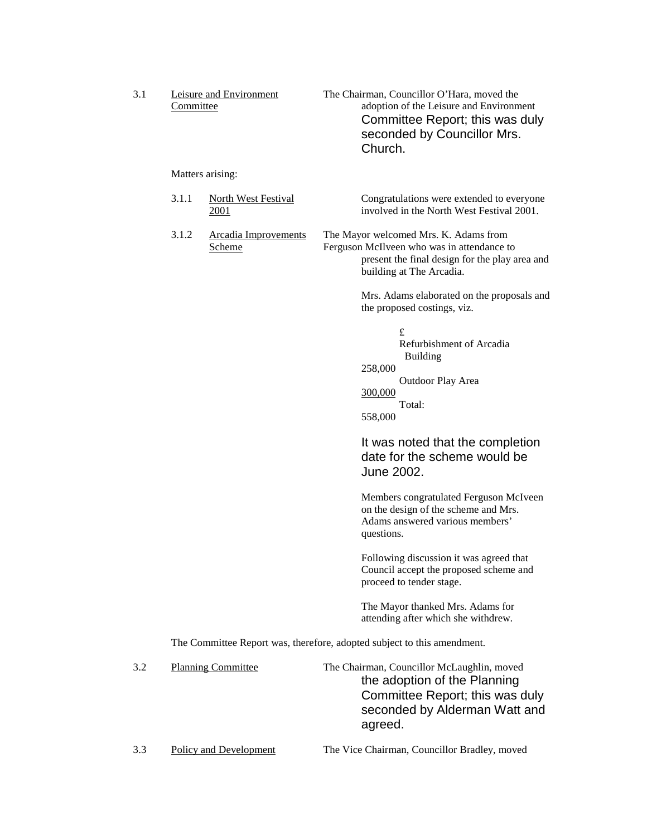| 3.1 | Leisure and Environment<br>Committee |                                              |  | The Chairman, Councillor O'Hara, moved the<br>adoption of the Leisure and Environment<br>Committee Report; this was duly<br>seconded by Councillor Mrs.<br>Church. |
|-----|--------------------------------------|----------------------------------------------|--|--------------------------------------------------------------------------------------------------------------------------------------------------------------------|
|     | Matters arising:                     |                                              |  |                                                                                                                                                                    |
|     | 3.1.1                                | <b>North West Festival</b><br><u>2001</u>    |  | Congratulations were extended to everyone<br>involved in the North West Festival 2001.                                                                             |
|     | 3.1.2                                | <b>Arcadia Improvements</b><br><u>Scheme</u> |  | The Mayor welcomed Mrs. K. Adams from<br>Ferguson McIlveen who was in attendance to<br>present the final design for the play area and<br>building at The Arcadia.  |
|     |                                      |                                              |  | Mrs. Adams elaborated on the proposals and<br>the proposed costings, viz.                                                                                          |
|     |                                      |                                              |  | £<br>Refurbishment of Arcadia<br><b>Building</b><br>258,000<br>Outdoor Play Area<br>300,000<br>Total:<br>558,000                                                   |
|     |                                      |                                              |  | It was noted that the completion<br>date for the scheme would be<br>June 2002.                                                                                     |
|     |                                      |                                              |  | Members congratulated Ferguson McIveen<br>on the design of the scheme and Mrs.<br>Adams answered various members'<br>questions.                                    |
|     |                                      |                                              |  | Following discussion it was agreed that<br>Council accept the proposed scheme and<br>proceed to tender stage.                                                      |
|     |                                      |                                              |  | The Mayor thanked Mrs. Adams for<br>attending after which she withdrew.                                                                                            |
|     |                                      |                                              |  | The Committee Report was, therefore, adopted subject to this amendment.                                                                                            |
| 3.2 |                                      | <b>Planning Committee</b>                    |  | The Chairman, Councillor McLaughlin, moved<br>the adoption of the Planning<br>Committee Report; this was duly<br>seconded by Alderman Watt and<br>agreed.          |
| 3.3 |                                      | Policy and Development                       |  | The Vice Chairman, Councillor Bradley, moved                                                                                                                       |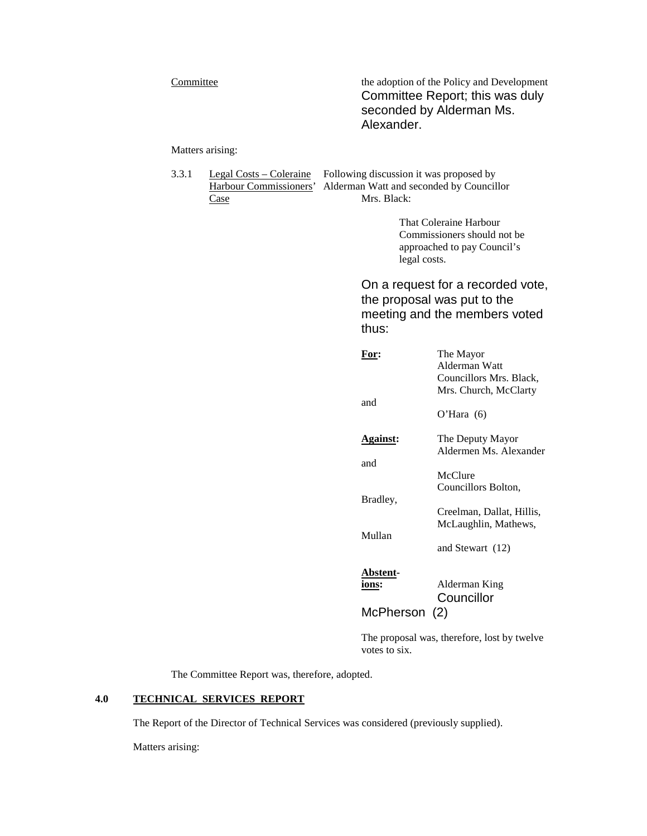Committee the adoption of the Policy and Development Committee Report; this was duly seconded by Alderman Ms. Alexander.

Matters arising:

3.3.1 Legal Costs – Coleraine Following discussion it was proposed by Harbour Commissioners' Alderman Watt and seconded by Councillor Case Mrs. Black:

> That Coleraine Harbour Commissioners should not be approached to pay Council's legal costs.

On a request for a recorded vote, the proposal was put to the meeting and the members voted thus:

| For:            | The Mayor                 |
|-----------------|---------------------------|
|                 | Alderman Watt             |
|                 | Councillors Mrs. Black,   |
|                 | Mrs. Church, McClarty     |
| and             |                           |
|                 | O'Hara $(6)$              |
| <b>Against:</b> | The Deputy Mayor          |
|                 | Aldermen Ms. Alexander    |
| and             |                           |
|                 | McClure                   |
|                 | Councillors Bolton,       |
| Bradley,        |                           |
|                 | Creelman, Dallat, Hillis, |
|                 | McLaughlin, Mathews,      |
| Mullan          |                           |
|                 | and Stewart (12)          |
|                 |                           |
| Abstent-        |                           |
| ions:           | Alderman King             |
|                 | Councillor                |
| McPherson (2)   |                           |
|                 |                           |

The proposal was, therefore, lost by twelve votes to six.

The Committee Report was, therefore, adopted.

#### **4.0 TECHNICAL SERVICES REPORT**

The Report of the Director of Technical Services was considered (previously supplied).

Matters arising: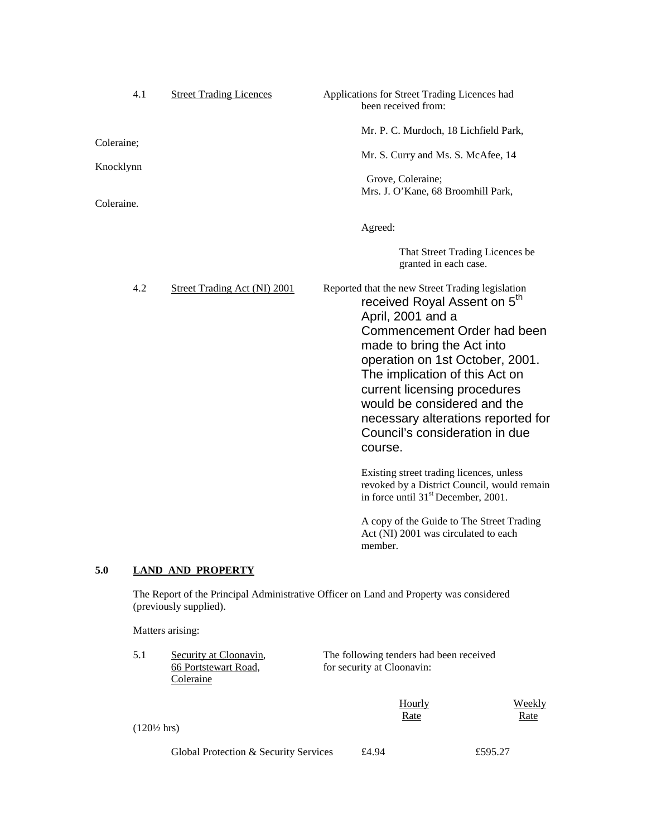| 4.1        | <b>Street Trading Licences</b>      | Applications for Street Trading Licences had<br>been received from:                                                                                                                                                                                                                                                                                                                                   |
|------------|-------------------------------------|-------------------------------------------------------------------------------------------------------------------------------------------------------------------------------------------------------------------------------------------------------------------------------------------------------------------------------------------------------------------------------------------------------|
| Coleraine; |                                     | Mr. P. C. Murdoch, 18 Lichfield Park,<br>Mr. S. Curry and Ms. S. McAfee, 14                                                                                                                                                                                                                                                                                                                           |
| Knocklynn  |                                     | Grove, Coleraine;<br>Mrs. J. O'Kane, 68 Broomhill Park,                                                                                                                                                                                                                                                                                                                                               |
| Coleraine. |                                     |                                                                                                                                                                                                                                                                                                                                                                                                       |
|            |                                     | Agreed:                                                                                                                                                                                                                                                                                                                                                                                               |
|            |                                     | That Street Trading Licences be<br>granted in each case.                                                                                                                                                                                                                                                                                                                                              |
| 4.2        | <b>Street Trading Act (NI) 2001</b> | Reported that the new Street Trading legislation<br>received Royal Assent on 5 <sup>th</sup><br>April, 2001 and a<br>Commencement Order had been<br>made to bring the Act into<br>operation on 1st October, 2001.<br>The implication of this Act on<br>current licensing procedures<br>would be considered and the<br>necessary alterations reported for<br>Council's consideration in due<br>course. |
|            |                                     | Existing street trading licences, unless<br>revoked by a District Council, would remain<br>in force until 31 <sup>st</sup> December, 2001.                                                                                                                                                                                                                                                            |
|            |                                     | A copy of the Guide to The Street Trading<br>Act (NI) 2001 was circulated to each                                                                                                                                                                                                                                                                                                                     |

### **5.0 LAND AND PROPERTY**

The Report of the Principal Administrative Officer on Land and Property was considered (previously supplied).

member.

Matters arising:

| 5.1                    | Security at Cloonavin,                |                            | The following tenders had been received |         |  |
|------------------------|---------------------------------------|----------------------------|-----------------------------------------|---------|--|
|                        | 66 Portstewart Road,                  | for security at Cloonavin: |                                         |         |  |
|                        | Coleraine                             |                            |                                         |         |  |
|                        |                                       |                            | Hourly                                  | Weekly  |  |
|                        |                                       |                            | <u>Rate</u>                             | Rate    |  |
| $(120\frac{1}{2}$ hrs) |                                       |                            |                                         |         |  |
|                        | Global Protection & Security Services | £4.94                      |                                         | £595.27 |  |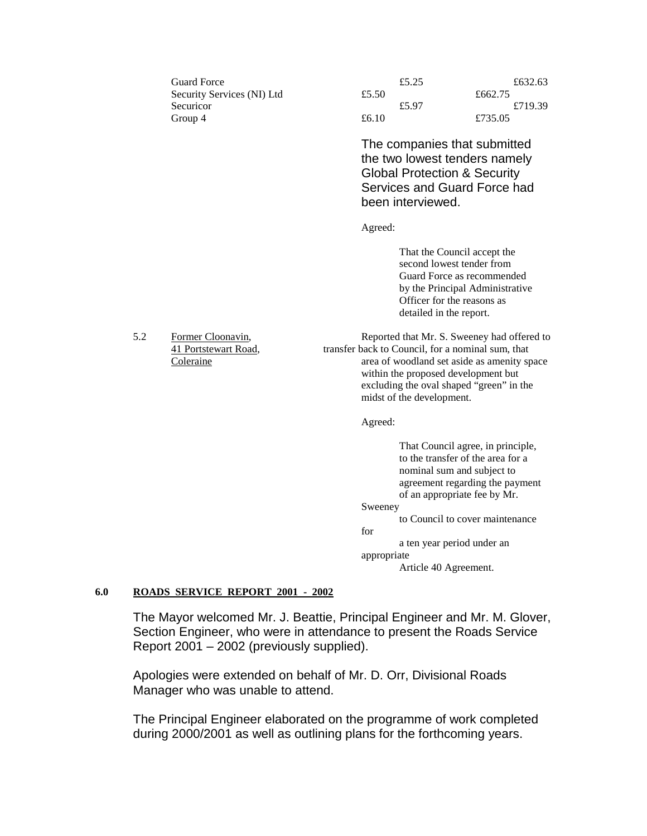| Guard Force                | £5.25 | £632.63 |
|----------------------------|-------|---------|
| Security Services (NI) Ltd | £5.50 | £662.75 |
| Securicor                  | £5.97 | £719.39 |
| Group 4                    | £6.10 | £735.05 |

The companies that submitted the two lowest tenders namely Global Protection & Security Services and Guard Force had been interviewed.

Agreed:

That the Council accept the second lowest tender from Guard Force as recommended by the Principal Administrative Officer for the reasons as detailed in the report.

5.2 Former Cloonavin, Reported that Mr. S. Sweeney had offered to 41 Portstewart Road, transfer back to Council, for a nominal sum, that Coleraine area of woodland set aside as amenity space within the proposed development but excluding the oval shaped "green" in the midst of the development.

Agreed:

That Council agree, in principle, to the transfer of the area for a nominal sum and subject to agreement regarding the payment of an appropriate fee by Mr.

#### Sweeney

to Council to cover maintenance

for

a ten year period under an

appropriate

Article 40 Agreement.

#### **6.0 ROADS SERVICE REPORT 2001 - 2002**

The Mayor welcomed Mr. J. Beattie, Principal Engineer and Mr. M. Glover, Section Engineer, who were in attendance to present the Roads Service Report 2001 – 2002 (previously supplied).

Apologies were extended on behalf of Mr. D. Orr, Divisional Roads Manager who was unable to attend.

The Principal Engineer elaborated on the programme of work completed during 2000/2001 as well as outlining plans for the forthcoming years.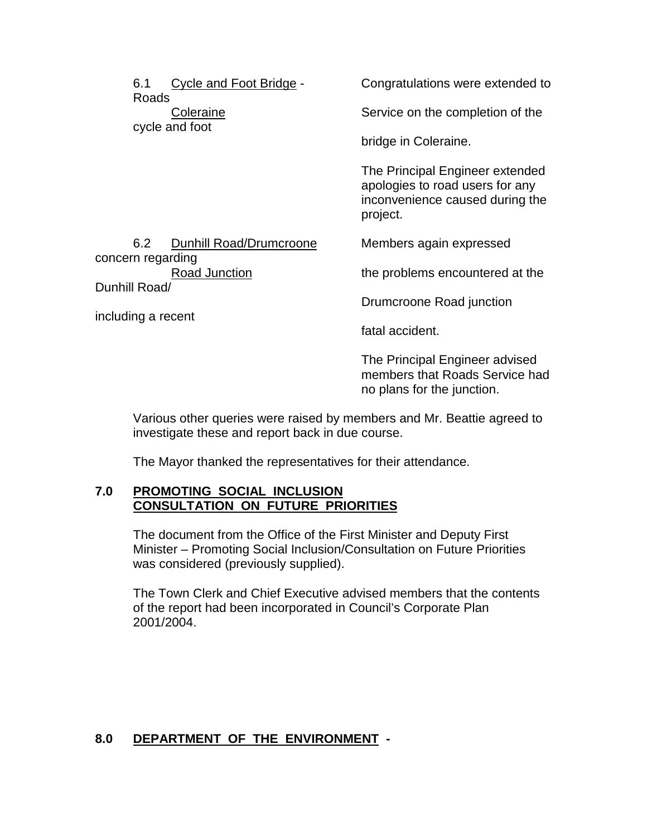| 6.1<br>Roads                        | Cycle and Foot Bridge - | Congratulations were extended to                                                                                  |
|-------------------------------------|-------------------------|-------------------------------------------------------------------------------------------------------------------|
|                                     | Coleraine               | Service on the completion of the                                                                                  |
|                                     | cycle and foot          | bridge in Coleraine.                                                                                              |
|                                     |                         | The Principal Engineer extended<br>apologies to road users for any<br>inconvenience caused during the<br>project. |
| 6.2                                 | Dunhill Road/Drumcroone | Members again expressed                                                                                           |
| concern regarding<br>Road Junction  |                         | the problems encountered at the                                                                                   |
| Dunhill Road/<br>including a recent |                         | Drumcroone Road junction                                                                                          |
|                                     |                         | fatal accident.                                                                                                   |
|                                     |                         | The Principal Engineer advised                                                                                    |

Various other queries were raised by members and Mr. Beattie agreed to investigate these and report back in due course.

members that Roads Service had

no plans for the junction.

The Mayor thanked the representatives for their attendance.

#### **7.0 PROMOTING SOCIAL INCLUSION CONSULTATION ON FUTURE PRIORITIES**

The document from the Office of the First Minister and Deputy First Minister – Promoting Social Inclusion/Consultation on Future Priorities was considered (previously supplied).

The Town Clerk and Chief Executive advised members that the contents of the report had been incorporated in Council's Corporate Plan 2001/2004.

### **8.0 DEPARTMENT OF THE ENVIRONMENT -**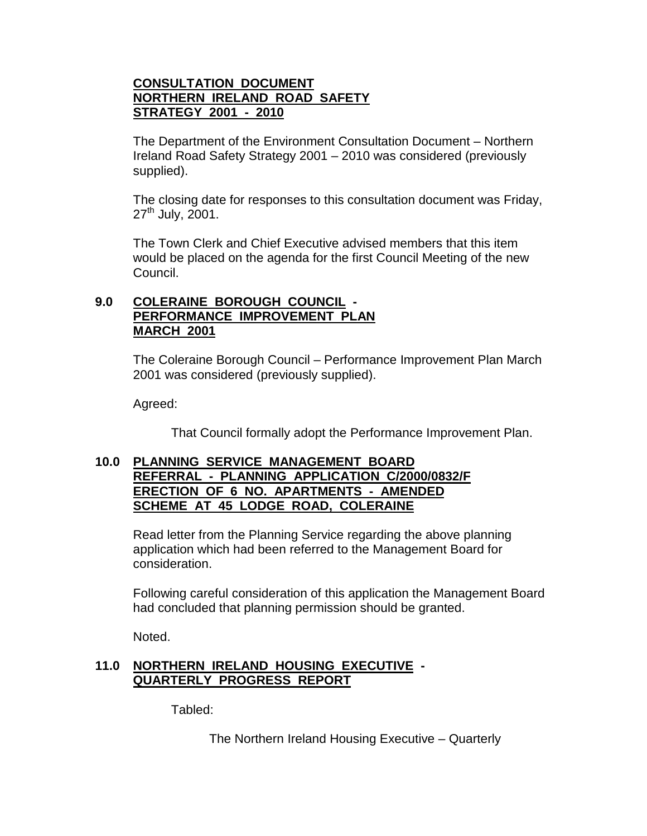### **CONSULTATION DOCUMENT NORTHERN IRELAND ROAD SAFETY STRATEGY 2001 - 2010**

The Department of the Environment Consultation Document – Northern Ireland Road Safety Strategy 2001 – 2010 was considered (previously supplied).

The closing date for responses to this consultation document was Friday,  $27<sup>th</sup>$  July, 2001.

The Town Clerk and Chief Executive advised members that this item would be placed on the agenda for the first Council Meeting of the new Council.

### **9.0 COLERAINE BOROUGH COUNCIL - PERFORMANCE IMPROVEMENT PLAN MARCH 2001**

The Coleraine Borough Council – Performance Improvement Plan March 2001 was considered (previously supplied).

Agreed:

That Council formally adopt the Performance Improvement Plan.

#### **10.0 PLANNING SERVICE MANAGEMENT BOARD REFERRAL - PLANNING APPLICATION C/2000/0832/F ERECTION OF 6 NO. APARTMENTS - AMENDED SCHEME AT 45 LODGE ROAD, COLERAINE**

Read letter from the Planning Service regarding the above planning application which had been referred to the Management Board for consideration.

Following careful consideration of this application the Management Board had concluded that planning permission should be granted.

Noted.

### **11.0 NORTHERN IRELAND HOUSING EXECUTIVE - QUARTERLY PROGRESS REPORT**

Tabled:

The Northern Ireland Housing Executive – Quarterly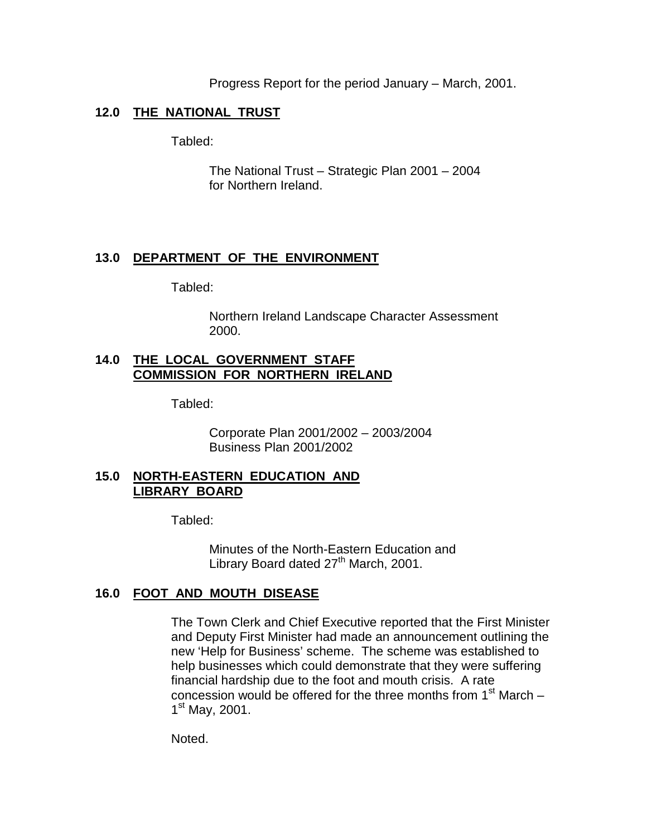Progress Report for the period January – March, 2001.

### **12.0 THE NATIONAL TRUST**

Tabled:

The National Trust – Strategic Plan 2001 – 2004 for Northern Ireland.

### **13.0 DEPARTMENT OF THE ENVIRONMENT**

Tabled:

Northern Ireland Landscape Character Assessment 2000.

### **14.0 THE LOCAL GOVERNMENT STAFF COMMISSION FOR NORTHERN IRELAND**

Tabled:

Corporate Plan 2001/2002 – 2003/2004 Business Plan 2001/2002

### **15.0 NORTH-EASTERN EDUCATION AND LIBRARY BOARD**

Tabled:

Minutes of the North-Eastern Education and Library Board dated 27<sup>th</sup> March, 2001.

### **16.0 FOOT AND MOUTH DISEASE**

The Town Clerk and Chief Executive reported that the First Minister and Deputy First Minister had made an announcement outlining the new 'Help for Business' scheme. The scheme was established to help businesses which could demonstrate that they were suffering financial hardship due to the foot and mouth crisis. A rate concession would be offered for the three months from  $1<sup>st</sup>$  March –  $1<sup>st</sup>$  May, 2001.

Noted.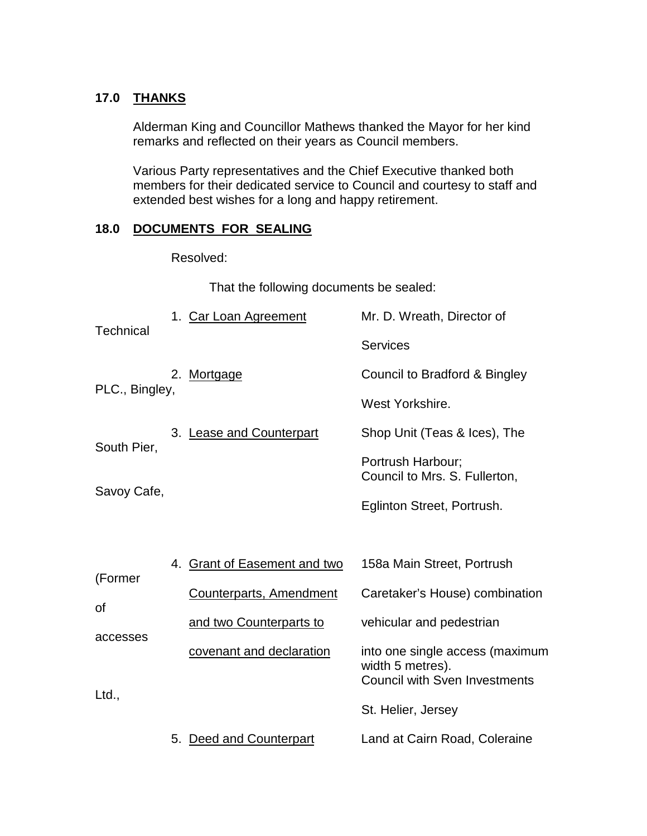## **17.0 THANKS**

Alderman King and Councillor Mathews thanked the Mayor for her kind remarks and reflected on their years as Council members.

Various Party representatives and the Chief Executive thanked both members for their dedicated service to Council and courtesy to staff and extended best wishes for a long and happy retirement.

#### **18.0 DOCUMENTS FOR SEALING**

Resolved:

That the following documents be sealed:

| <b>Technical</b> |    | 1. Car Loan Agreement            | Mr. D. Wreath, Director of                                                                  |
|------------------|----|----------------------------------|---------------------------------------------------------------------------------------------|
|                  |    |                                  | <b>Services</b>                                                                             |
|                  |    | 2. Mortgage                      | Council to Bradford & Bingley                                                               |
| PLC., Bingley,   |    |                                  | West Yorkshire.                                                                             |
|                  |    | 3. Lease and Counterpart         | Shop Unit (Teas & Ices), The                                                                |
| South Pier,      |    |                                  | Portrush Harbour;<br>Council to Mrs. S. Fullerton,                                          |
| Savoy Cafe,      |    |                                  | Eglinton Street, Portrush.                                                                  |
|                  |    |                                  |                                                                                             |
|                  | 4. | <b>Grant of Easement and two</b> | 158a Main Street, Portrush                                                                  |
| (Former<br>οf    |    | Counterparts, Amendment          | Caretaker's House) combination                                                              |
|                  |    | and two Counterparts to          | vehicular and pedestrian                                                                    |
| accesses         |    | covenant and declaration         | into one single access (maximum<br>width 5 metres).<br><b>Council with Sven Investments</b> |
| Ltd.,            |    |                                  | St. Helier, Jersey                                                                          |
|                  | 5. | Deed and Counterpart             | Land at Cairn Road, Coleraine                                                               |